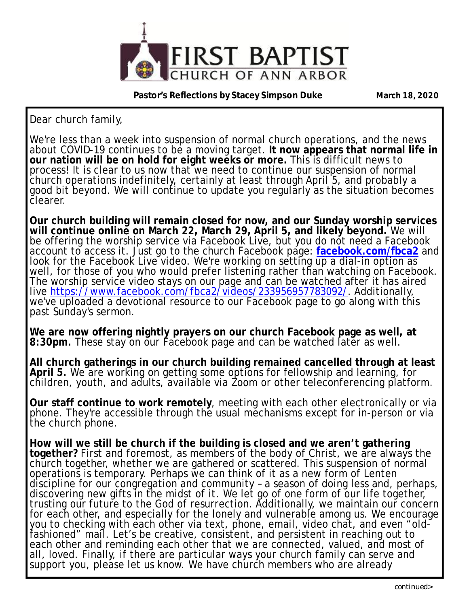

**Pastor's Reflections by Stacey Simpson Duke March 18, 2020** 

Dear church family,

We're less than a week into suspension of normal church operations, and the news about COVID-19 continues to be a moving target. **It now appears that normal life in our nation will be on hold for eight weeks or more.** This is difficult news to process! It is clear to us now that we need to continue our suspension of normal church operations indefinitely, certainly at least through April 5, and probably a good bit beyond. We will continue to update you regularly as the situation becomes clearer.

**Our church building will remain closed for now, and our Sunday worship services will continue online on March 22, March 29, April 5, and likely beyond.** We will be offering the worship service via Facebook Live, but you do not need a Facebook account to access it. Just go to the church Facebook page: **facebook.com/fbca2** and look for the Facebook Live video. We're working on setting up a dial-in option as well, for those of you who would prefer listening rather than watching on Facebook. The worship service video stays on our page and can be watched after it has aired live <https://www.facebook.com/fbca2/videos/233956957783092/>. Additionally, we've uploaded a devotional resource to our Facebook page to go along with this past Sunday's sermon.

**We are now offering nightly prayers on our church Facebook page as well, at 8:30pm.** These stay on our Facebook page and can be watched later as well.

**All church gatherings in our church building remained cancelled through at least April 5.** We are working on getting some options for fellowship and learning, for children, youth, and adults, available via Zoom or other teleconferencing platform.

**Our staff continue to work remotely**, meeting with each other electronically or via phone. They're accessible through the usual mechanisms except for in-person or via the church phone.

**How will we still be church if the building is closed and we aren't gathering together?** First and foremost, as members of the body of Christ, we are always the church together, whether we are gathered or scattered. This suspension of normal operations is temporary. Perhaps we can think of it as a new form of Lenten discipline for our congregation and community – a season of doing less and, perhaps, discovering new gifts in the midst of it. We let go of one form of our life together, trusting our future to the God of resurrection. Additionally, we maintain our concern for each other, and especially for the lonely and vulnerable among us. We encourage you to checking with each other via text, phone, email, video chat, and even "oldfashioned" mail. Let's be creative, consistent, and persistent in reaching out to each other and reminding each other that we are connected, valued, and most of all, loved. Finally, if there are particular ways your church family can serve and support you, please let us know. We have church members who are already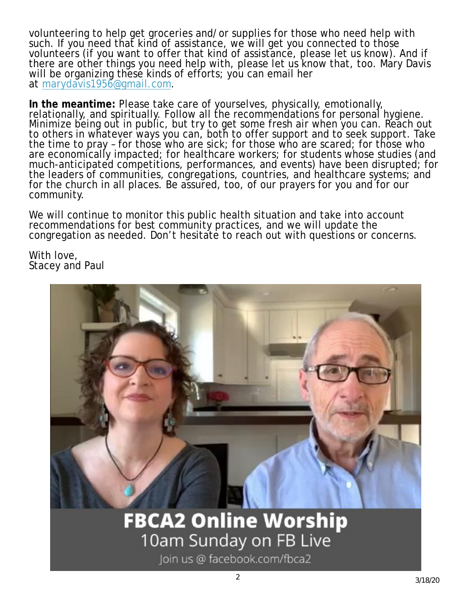volunteering to help get groceries and/or supplies for those who need help with such. If you need that kind of assistance, we will get you connected to those volunteers (if you want to offer that kind of assistance, please let us know). And if there are other things you need help with, please let us know that, too. Mary Davis will be organizing these kinds of efforts; you can email her at [marydavis1956@gmail.com](mailto:marydavis1956@gmail.com).

**In the meantime:** Please take care of yourselves, physically, emotionally, relationally, and spiritually. Follow all the recommendations for personal hygiene. Minimize being out in public, but try to get some fresh air when you can. Reach out to others in whatever ways you can, both to offer support and to seek support. Take the time to pray – for those who are sick; for those who are scared; for those who are economically impacted; for healthcare workers; for students whose studies (and much-anticipated competitions, performances, and events) have been disrupted; for the leaders of communities, congregations, countries, and healthcare systems; and for the church in all places. Be assured, too, of our prayers for you and for our community.

We will continue to monitor this public health situation and take into account recommendations for best community practices, and we will update the congregation as needed. Don't hesitate to reach out with questions or concerns.

With love, Stacey and Paul

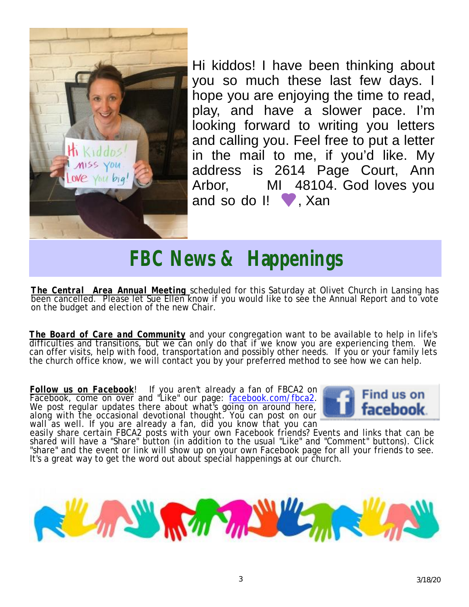

Hi kiddos! I have been thinking about you so much these last few days. I hope you are enjoying the time to read, play, and have a slower pace. I'm looking forward to writing you letters and calling you. Feel free to put a letter in the mail to me, if you'd like. My address is 2614 Page Court, Ann Arbor, MI 48104. God loves you and so do  $\mathsf{I}$ !  $\blacktriangledown$ , Xan

## *FBC News & Happenings*

*The Central Area Annual Meeting* scheduled for this Saturday at Olivet Church in Lansing has been cancelled. Please let Sue Ellen know if you would like to see the Annual Report and to vote on the budget and election of the new Chair.

*The Board of Care and Community* and your congregation want to be available to help in life's difficulties and transitions, but we can only do that if we know you are experiencing them. We can offer visits, help with food, transportation and possibly other needs. If you or your family lets the church office know, we will contact you by your preferred method to see how we can help.

*Follow us on Facebook*! If you aren't already a fan of FBCA2 on Facebook, come on over and "Like" our page: facebook.com/fbca2. We post regular updates there about what's going on around here, along with the occasional devotional thought. You can post on our wall as well. If you are already a fan, did you know that you can



easily share certain FBCA2 posts with your own Facebook friends? Events and links that can be shared will have a "Share" button (in addition to the usual "Like" and "Comment" buttons). Click "share" and the event or link will show up on your own Facebook page for all your friends to see. It's a great way to get the word out about special happenings at our church.

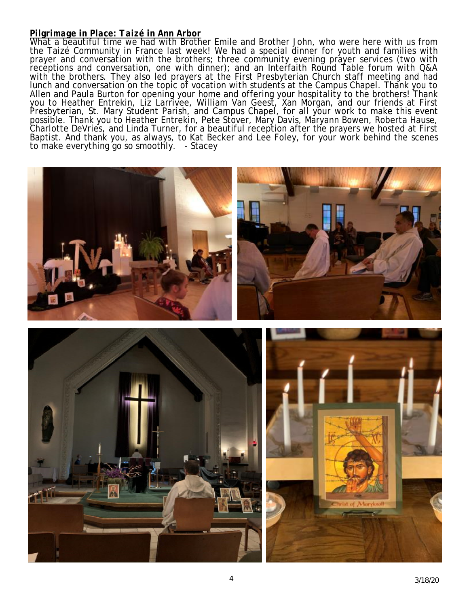## *Pilgrimage in Place: Taizé in Ann Arbor*

What a beautiful time we had with Brother Emile and Brother John, who were here with us from the Taizé Community in France last week! We had a special dinner for youth and families with prayer and conversation with the brothers; three community evening prayer services (two with receptions and conversation, one with dinner); and an Interfaith Round Table forum with Q&A with the brothers. They also led prayers at the First Presbyterian Church staff meeting and had lunch and conversation on the topic of vocation with students at the Campus Chapel. Thank you to Allen and Paula Burton for opening your home and offering your hospitality to the brothers! Thank you to Heather Entrekin, Liz Larrivee, William Van Geest, Xan Morgan, and our friends at First Presbyterian, St. Mary Student Parish, and Campus Chapel, for all your work to make this event possible. Thank you to Heather Entrekin, Pete Stover, Mary Davis, Maryann Bowen, Roberta Hause, Charlotte DeVries, and Linda Turner, for a beautiful reception after the prayers we hosted at First Baptist. And thank you, as always, to Kat Becker and Lee Foley, for your work behind the scenes to make everything go so smoothly. - Stacey



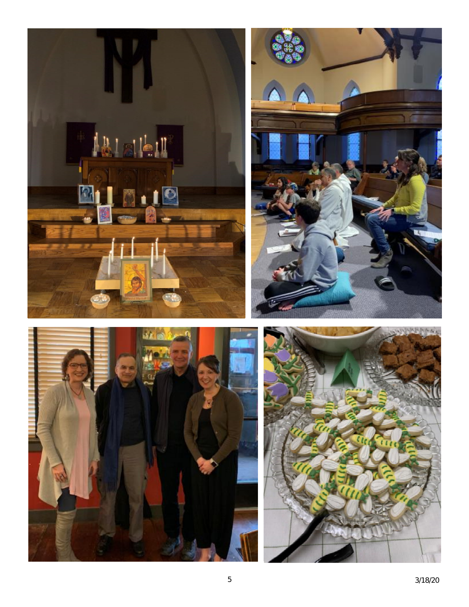